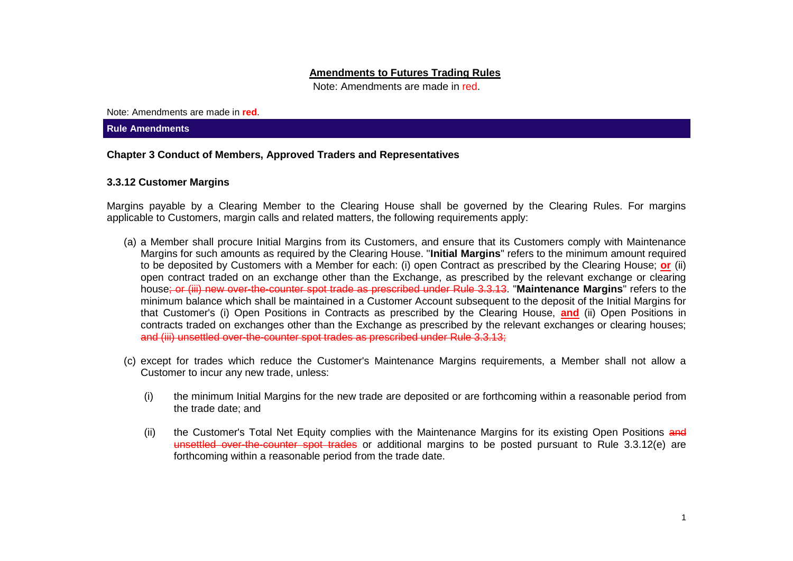### **Amendments to Futures Trading Rules**

Note: Amendments are made in red.

Note: Amendments are made in **red**.

#### **Rule Amendments**

## **Chapter 3 Conduct of Members, Approved Traders and Representatives**

### **3.3.12 Customer Margins**

Margins payable by a Clearing Member to the Clearing House shall be governed by the Clearing Rules. For margins applicable to Customers, margin calls and related matters, the following requirements apply:

- (a) a Member shall procure Initial Margins from its Customers, and ensure that its Customers comply with Maintenance Margins for such amounts as required by the Clearing House. "**Initial Margins**" refers to the minimum amount required to be deposited by Customers with a Member for each: (i) open Contract as prescribed by the Clearing House; **or** (ii) open contract traded on an exchange other than the Exchange, as prescribed by the relevant exchange or clearing house; or (iii) new over-the-counter spot trade as prescribed under Rule 3.3.13. "**Maintenance Margins**" refers to the minimum balance which shall be maintained in a Customer Account subsequent to the deposit of the Initial Margins for that Customer's (i) Open Positions in Contracts as prescribed by the Clearing House, **and** (ii) Open Positions in contracts traded on exchanges other than the Exchange as prescribed by the relevant exchanges or clearing houses; and (iii) unsettled over-the-counter spot trades as prescribed under Rule 3.3.13;
- (c) except for trades which reduce the Customer's Maintenance Margins requirements, a Member shall not allow a Customer to incur any new trade, unless:
	- (i) the minimum Initial Margins for the new trade are deposited or are forthcoming within a reasonable period from the trade date; and
	- (ii) the Customer's Total Net Equity complies with the Maintenance Margins for its existing Open Positions and unsettled over-the-counter spot trades or additional margins to be posted pursuant to Rule 3.3.12(e) are forthcoming within a reasonable period from the trade date.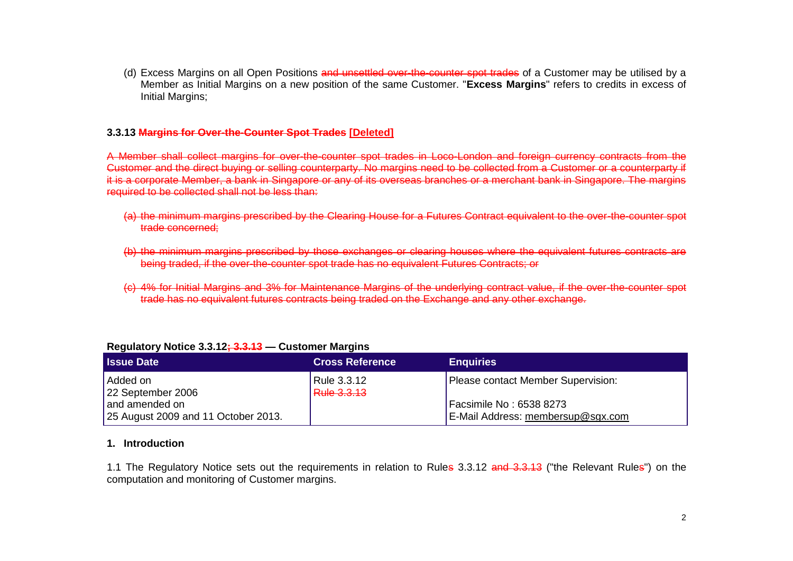(d) Excess Margins on all Open Positions and unsettled over-the-counter spot trades of a Customer may be utilised by a Member as Initial Margins on a new position of the same Customer. "**Excess Margins**" refers to credits in excess of Initial Margins;

## **3.3.13 Margins for Over-the-Counter Spot Trades [Deleted]**

A Member shall collect margins for over-the-counter spot trades in Loco-London and foreign currency contracts from the Customer and the direct buying or selling counterparty. No margins need to be collected from a Customer or a counterparty if it is a corporate Member, a bank in Singapore or any of its overseas branches or a merchant bank in Singapore. The margins required to be collected shall not be less than:

- (a) the minimum margins prescribed by the Clearing House for a Futures Contract equivalent to the over-the-counter spot trade concerned;
- (b) the minimum margins prescribed by those exchanges or clearing houses where the equivalent futures contracts are being traded, if the over-the-counter spot trade has no equivalent Futures Contracts; or
- (c) 4% for Initial Margins and 3% for Maintenance Margins of the underlying contract value, if the over-the-counter spot trade has no equivalent futures contracts being traded on the Exchange and any other exchange.

| <b>Issue Date</b>                                     | <b>Cross Reference</b>            | <b>Enquiries</b>                                             |  |  |  |
|-------------------------------------------------------|-----------------------------------|--------------------------------------------------------------|--|--|--|
| l Added on<br>22 September 2006                       | Rule 3.3.12<br><b>Rule 3.3.13</b> | Please contact Member Supervision:                           |  |  |  |
| and amended on<br>25 August 2009 and 11 October 2013. |                                   | Facsimile No: 6538 8273<br>E-Mail Address: membersup@sgx.com |  |  |  |

## **Regulatory Notice 3.3.12; 3.3.13 — Customer Margins**

#### **1. Introduction**

1.1 The Regulatory Notice sets out the reguirements in relation to Rules 3.3.12 and 3.3.13 ("the Relevant Rules") on the computation and monitoring of Customer margins.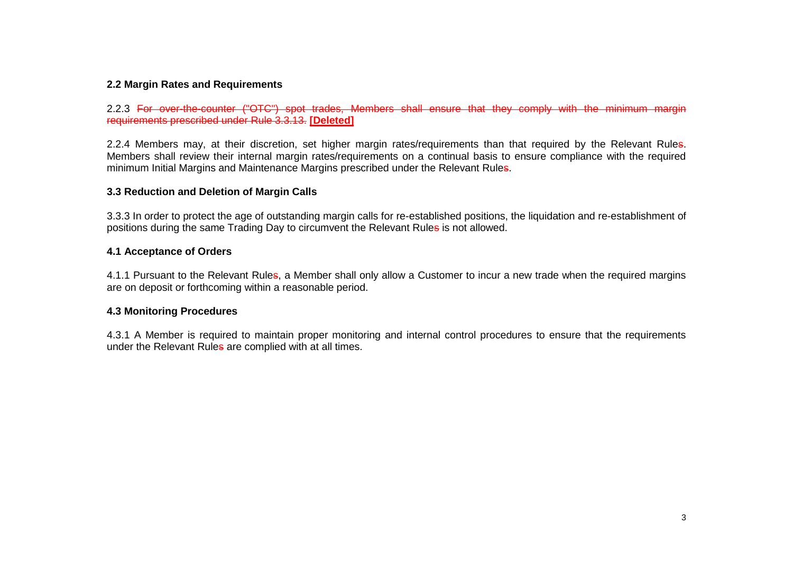# **2.2 Margin Rates and Requirements**

2.2.3 For over-the-counter ("OTC") spot trades. Members shall ensure that they comply with the minimum margin requirements prescribed under Rule 3.3.13. **[Deleted]**

2.2.4 Members may, at their discretion, set higher margin rates/requirements than that required by the Relevant Rules. Members shall review their internal margin rates/requirements on a continual basis to ensure compliance with the required minimum Initial Margins and Maintenance Margins prescribed under the Relevant Rules.

### **3.3 Reduction and Deletion of Margin Calls**

3.3.3 In order to protect the age of outstanding margin calls for re-established positions, the liquidation and re-establishment of positions during the same Trading Day to circumvent the Relevant Rules is not allowed.

## **4.1 Acceptance of Orders**

4.1.1 Pursuant to the Relevant Rules, a Member shall only allow a Customer to incur a new trade when the required margins are on deposit or forthcoming within a reasonable period.

#### **4.3 Monitoring Procedures**

4.3.1 A Member is required to maintain proper monitoring and internal control procedures to ensure that the requirements under the Relevant Rules are complied with at all times.